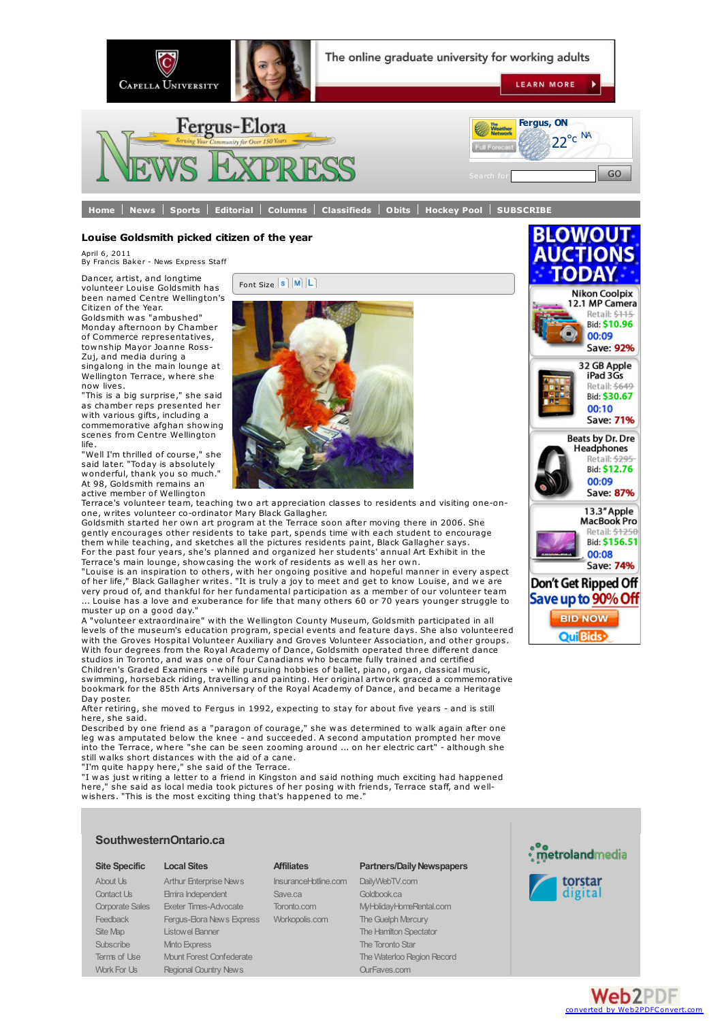

### **Louise Goldsmith picked citizen of the year**

April 6, 2011 By Francis Baker - News Express Staff

Dancer, artist, and longtime volunteer Louise Goldsmith has been named Centre Wellington's Citizen of the Year. Goldsmith was "ambushed" Monday afternoon by Chamber of Commerce representatives, township Mayor Joanne Ross-Zuj, and media during a singalong in the main lounge at Wellington Terrace, where she now lives.

"This is a big surprise," she said as chamber reps presented her with various gifts, including a commemorative afghan showing scenes from Centre Wellington life.

"Well I'm thrilled of course," she said later. "Today is absolutely wonderful, thank you so much." At 98, Goldsmith remains an active member of Wellington



Terrace's volunteer team, teaching two art appreciation classes to residents and visiting one-onone, writes volunteer co-ordinator Mary Black Gallagher.

Goldsmith started her own art program at the Terrace soon after moving there in 2006. She gently encourages other residents to take part, spends time with each student to encourage them while teaching, and sketches all the pictures residents paint, Black Gallagher says. For the past four years, she's planned and organized her students' annual Art Exhibit in the Terrace's main lounge, showcasing the work of residents as well as her own.

"Louise is an inspiration to others, with her ongoing positive and hopeful manner in every aspect of her life," Black Gallagher writes. "It is truly a joy to meet and get to know Louise, and we are very proud of, and thankful for her fundamental participation as a member of our volunteer team ... Louise has <sup>a</sup> love and exuberance for life that many others <sup>60</sup> or <sup>70</sup> years younger struggle to muster up on <sup>a</sup> good day."

A "volunteer extraordinaire" with the Wellington County Museum, Goldsmith participated in all levels of the museum's education program, special events and feature days. She also volunteered With four degrees from the Royal Academy of Dance, Goldsmith operated three different dance studios in Toronto, and was one of four Canadians who became fully trained and certified Children's Graded Examiners - while pursuing hobbies of ballet, piano, organ, classical music, swimming, horseback riding, travelling and painting. Her original artwork graced a commemorative

bookmark for the 85th Arts Anniversary of the Royal Academy of Dance, and became a Heritage Day poster. After retiring, she moved to Fergus in 1992, expecting to stay for about five years - and is still

here, she said. Described by one friend as a "paragon of courage," she was determined to walk again after one

leg was amputated below the knee - and succeeded. A second amputation prompted her move into the Terrace, where "she can be seen zooming around ... on her electric cart" - although she still walks short distances with the aid of a cane. "I'm quite happy here," she said of the Terrace.

"I was just writing a letter to a friend in Kingston and said nothing much exciting had happened here," she said as local media took pictures of her posing with friends, Terrace staff, and wellwishers. "This is the most exciting thing that's happened to me."

## **SouthwesternOntario.ca**

#### **Site Specific Local Sites**

[About](http://www.centrewellington.com/aboutus#fergus) Us [Contact](http://www.centrewellington.com/contactus#fergus) Us [Feedback](http://media.metroland.com/southwesternontario.ca/feedback.php) [Site](http://www.centrewellington.com/sitemap#fergus) Map [Subscribe](http://www.centrewellington.com/subscriptionrates#fergus) [Terms](http://www.metroland.com/page/Terms and Conditions) of Use Work For Us

[Corporate](http://www.metroland.com/page/Advertise) Sales Exeter [Times-Advocate](http://www.southhuron.com) Arthur Enterprise News Emira [Independent](http://www.elmiraindependent.com) Fergus-Elora News Express [Workopolis.com](http://www.workopolis.com) [Listowel](http://www.northperth.com) Banner Minto [Express](http://www.mintoexpress.com) Mount Forest [Confederate](http://www.mountforest.com) **Regional Country News** 

#### **Affiliates**

[InsuranceHotline.com](http://www.insurancehotline.com) [DailyWebTV.com](http://www.dailywebtv.com) [Save.ca](http://www.save.ca) [Toronto.com](http://www.toronto.com)

#### **Partners/DailyNewspapers**

[Goldbook.ca](http://www.goldbook.ca) [MyHolidayHomeRental.com](http://www.myholidayhomerental.com) The Guelph Mercury The Hamilton Spectator The [Toronto](http://www.thestar.com) Star The Waterloo Region Record [OurFaves.com](http://www.ourfaves.com)







# **Web2PDF** converted by [Web2PDFConvert.com](http://www.web2pdfconvert.com?ref=PDF)